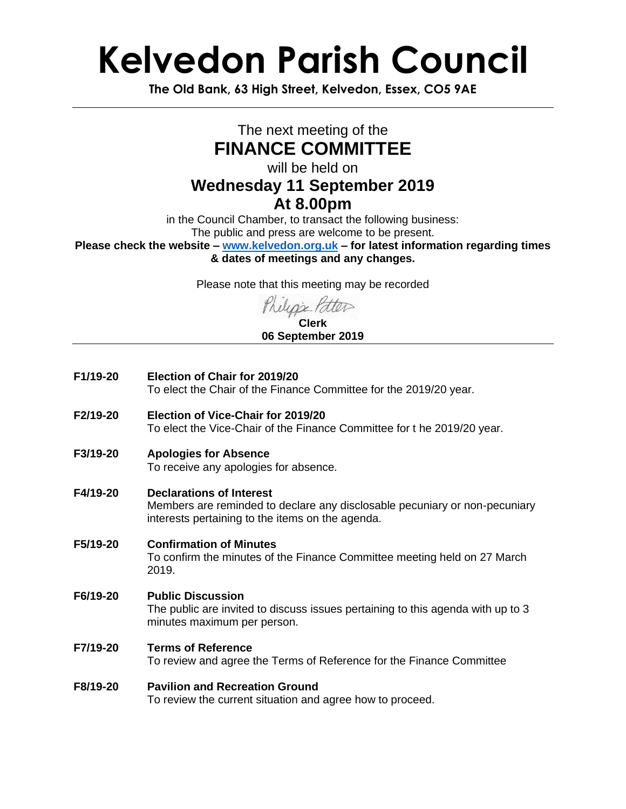## **Kelvedon Parish Council**

**The Old Bank, 63 High Street, Kelvedon, Essex, CO5 9AE**

### The next meeting of the **FINANCE COMMITTEE**

will be held on

### **Wednesday 11 September 2019**

#### **At 8.00pm**

in the Council Chamber, to transact the following business: The public and press are welcome to be present.

**Please check the website – [www.kelvedon.org.uk](http://www.kelvedon.org.uk/) – for latest information regarding times & dates of meetings and any changes.**

Please note that this meeting may be recorded

#### **Clerk 06 September 2019**

- **F1/19-20 Election of Chair for 2019/20** To elect the Chair of the Finance Committee for the 2019/20 year.
- **F2/19-20 Election of Vice-Chair for 2019/20** To elect the Vice-Chair of the Finance Committee for t he 2019/20 year.
- **F3/19-20 Apologies for Absence** To receive any apologies for absence.
- **F4/19-20 Declarations of Interest**

Members are reminded to declare any disclosable pecuniary or non-pecuniary interests pertaining to the items on the agenda.

- **F5/19-20 Confirmation of Minutes** To confirm the minutes of the Finance Committee meeting held on 27 March 2019.
- **F6/19-20 Public Discussion** The public are invited to discuss issues pertaining to this agenda with up to 3 minutes maximum per person.
- **F7/19-20 Terms of Reference** To review and agree the Terms of Reference for the Finance Committee

#### **F8/19-20 Pavilion and Recreation Ground** To review the current situation and agree how to proceed.